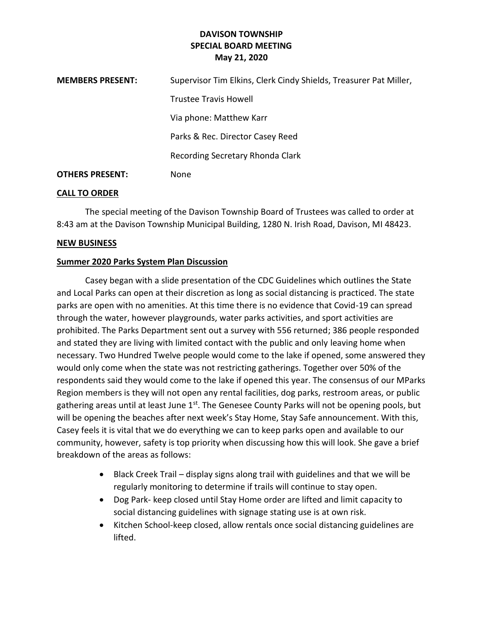# **DAVISON TOWNSHIP SPECIAL BOARD MEETING May 21, 2020**

| <b>MEMBERS PRESENT:</b> | Supervisor Tim Elkins, Clerk Cindy Shields, Treasurer Pat Miller, |
|-------------------------|-------------------------------------------------------------------|
|                         | <b>Trustee Travis Howell</b>                                      |
|                         | Via phone: Matthew Karr                                           |
|                         | Parks & Rec. Director Casey Reed                                  |
|                         | Recording Secretary Rhonda Clark                                  |
| <b>OTHERS PRESENT:</b>  | None                                                              |

### **CALL TO ORDER**

The special meeting of the Davison Township Board of Trustees was called to order at 8:43 am at the Davison Township Municipal Building, 1280 N. Irish Road, Davison, MI 48423.

### **NEW BUSINESS**

## **Summer 2020 Parks System Plan Discussion**

Casey began with a slide presentation of the CDC Guidelines which outlines the State and Local Parks can open at their discretion as long as social distancing is practiced. The state parks are open with no amenities. At this time there is no evidence that Covid-19 can spread through the water, however playgrounds, water parks activities, and sport activities are prohibited. The Parks Department sent out a survey with 556 returned; 386 people responded and stated they are living with limited contact with the public and only leaving home when necessary. Two Hundred Twelve people would come to the lake if opened, some answered they would only come when the state was not restricting gatherings. Together over 50% of the respondents said they would come to the lake if opened this year. The consensus of our MParks Region members is they will not open any rental facilities, dog parks, restroom areas, or public gathering areas until at least June 1st. The Genesee County Parks will not be opening pools, but will be opening the beaches after next week's Stay Home, Stay Safe announcement. With this, Casey feels it is vital that we do everything we can to keep parks open and available to our community, however, safety is top priority when discussing how this will look. She gave a brief breakdown of the areas as follows:

- Black Creek Trail display signs along trail with guidelines and that we will be regularly monitoring to determine if trails will continue to stay open.
- Dog Park- keep closed until Stay Home order are lifted and limit capacity to social distancing guidelines with signage stating use is at own risk.
- Kitchen School-keep closed, allow rentals once social distancing guidelines are lifted.